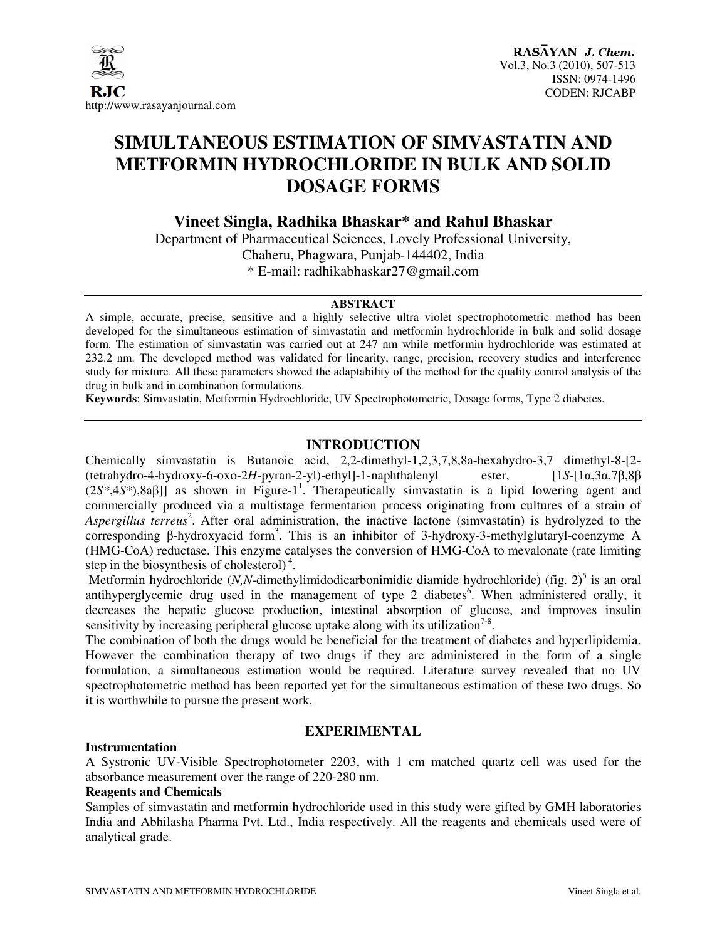

# **SIMULTANEOUS ESTIMATION OF SIMVASTATIN AND METFORMIN HYDROCHLORIDE IN BULK AND SOLID DOSAGE FORMS**

# **Vineet Singla, Radhika Bhaskar\* and Rahul Bhaskar**

Department of Pharmaceutical Sciences, Lovely Professional University, Chaheru, Phagwara, Punjab-144402, India \* E-mail: radhikabhaskar27@gmail.com

#### **ABSTRACT**

A simple, accurate, precise, sensitive and a highly selective ultra violet spectrophotometric method has been developed for the simultaneous estimation of simvastatin and metformin hydrochloride in bulk and solid dosage form. The estimation of simvastatin was carried out at 247 nm while metformin hydrochloride was estimated at 232.2 nm. The developed method was validated for linearity, range, precision, recovery studies and interference study for mixture. All these parameters showed the adaptability of the method for the quality control analysis of the drug in bulk and in combination formulations.

**Keywords**: Simvastatin, Metformin Hydrochloride, UV Spectrophotometric, Dosage forms, Type 2 diabetes.

# **INTRODUCTION**

Chemically simvastatin is Butanoic acid, 2,2-dimethyl-1,2,3,7,8,8a-hexahydro-3,7 dimethyl-8-[2- (tetrahydro-4-hydroxy-6-oxo-2*H*-pyran-2-yl)-ethyl]-1-naphthalenyl ester, [1*S*-[1α,3α,7β,8β  $(2S^*, 4S^*)$ ,8a $\beta$ ]] as shown in Figure-1<sup>1</sup>. Therapeutically simvastatin is a lipid lowering agent and commercially produced via a multistage fermentation process originating from cultures of a strain of Aspergillus terreus<sup>2</sup>. After oral administration, the inactive lactone (simvastatin) is hydrolyzed to the corresponding β-hydroxyacid form<sup>3</sup>. This is an inhibitor of 3-hydroxy-3-methylglutaryl-coenzyme A (HMG-CoA) reductase. This enzyme catalyses the conversion of HMG-CoA to mevalonate (rate limiting step in the biosynthesis of cholesterol) $<sup>4</sup>$ .</sup>

Metformin hydrochloride  $(N, N$ -dimethylimidodicarbonimidic diamide hydrochloride) (fig. 2)<sup>5</sup> is an oral antihyperglycemic drug used in the management of type 2 diabetes<sup>6</sup>. When administered orally, it decreases the hepatic glucose production, intestinal absorption of glucose, and improves insulin sensitivity by increasing peripheral glucose uptake along with its utilization<sup>7-8</sup>.

The combination of both the drugs would be beneficial for the treatment of diabetes and hyperlipidemia. However the combination therapy of two drugs if they are administered in the form of a single formulation, a simultaneous estimation would be required. Literature survey revealed that no UV spectrophotometric method has been reported yet for the simultaneous estimation of these two drugs. So it is worthwhile to pursue the present work.

# **EXPERIMENTAL**

#### **Instrumentation**

A Systronic UV-Visible Spectrophotometer 2203, with 1 cm matched quartz cell was used for the absorbance measurement over the range of 220-280 nm.

### **Reagents and Chemicals**

Samples of simvastatin and metformin hydrochloride used in this study were gifted by GMH laboratories India and Abhilasha Pharma Pvt. Ltd., India respectively. All the reagents and chemicals used were of analytical grade.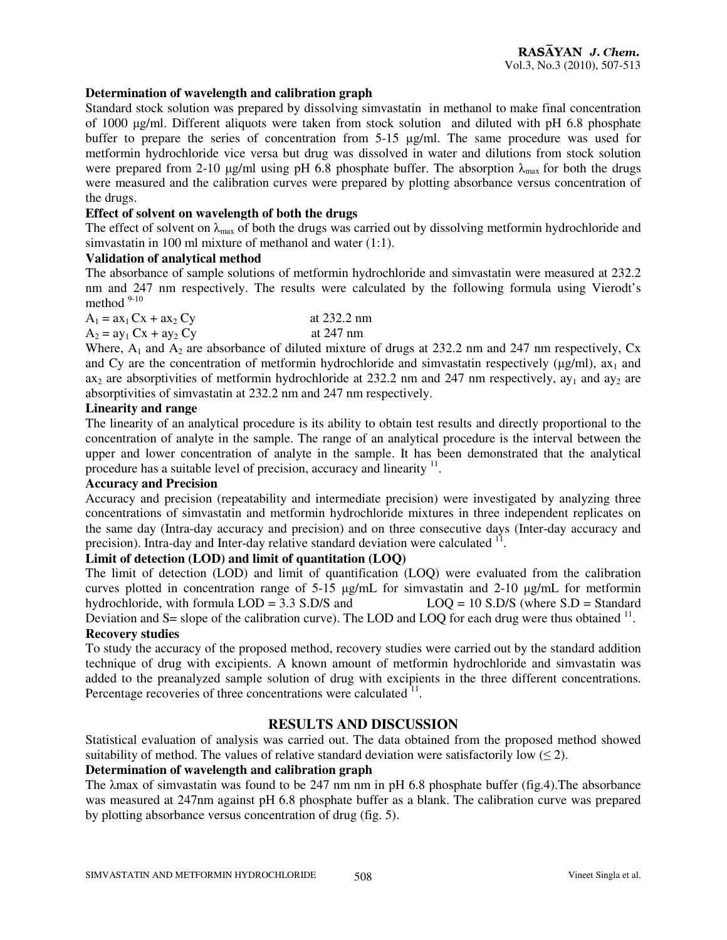#### **Determination of wavelength and calibration graph**

Standard stock solution was prepared by dissolving simvastatin in methanol to make final concentration of 1000 µg/ml. Different aliquots were taken from stock solution and diluted with pH 6.8 phosphate buffer to prepare the series of concentration from 5-15 µg/ml. The same procedure was used for metformin hydrochloride vice versa but drug was dissolved in water and dilutions from stock solution were prepared from 2-10 µg/ml using pH 6.8 phosphate buffer. The absorption  $\lambda_{\text{max}}$  for both the drugs were measured and the calibration curves were prepared by plotting absorbance versus concentration of the drugs.

#### **Effect of solvent on wavelength of both the drugs**

The effect of solvent on  $\lambda_{\text{max}}$  of both the drugs was carried out by dissolving metformin hydrochloride and simvastatin in 100 ml mixture of methanol and water (1:1).

#### **Validation of analytical method**

The absorbance of sample solutions of metformin hydrochloride and simvastatin were measured at 232.2 nm and 247 nm respectively. The results were calculated by the following formula using Vierodt's method  $9-10$ 

| $A_1 = ax_1 Cx + ax_2 Cy$ | at $232.2 \text{ nm}$ |
|---------------------------|-----------------------|
| $A_2 = ay_1 Cx + ay_2 Cy$ | at $247 \text{ nm}$   |

Where,  $A_1$  and  $A_2$  are absorbance of diluted mixture of drugs at 232.2 nm and 247 nm respectively, Cx and Cy are the concentration of metformin hydrochloride and simvastatin respectively ( $\mu$ g/ml), ax<sub>1</sub> and ax<sub>2</sub> are absorptivities of metformin hydrochloride at 232.2 nm and 247 nm respectively,  $ay_1$  and  $ay_2$  are absorptivities of simvastatin at 232.2 nm and 247 nm respectively.

# **Linearity and range**

The linearity of an analytical procedure is its ability to obtain test results and directly proportional to the concentration of analyte in the sample. The range of an analytical procedure is the interval between the upper and lower concentration of analyte in the sample. It has been demonstrated that the analytical procedure has a suitable level of precision, accuracy and linearity  $11$ .

### **Accuracy and Precision**

Accuracy and precision (repeatability and intermediate precision) were investigated by analyzing three concentrations of simvastatin and metformin hydrochloride mixtures in three independent replicates on the same day (Intra-day accuracy and precision) and on three consecutive days (Inter-day accuracy and precision). Intra-day and Inter-day relative standard deviation were calculated <sup>11</sup>.

#### **Limit of detection (LOD) and limit of quantitation (LOQ)**

The limit of detection (LOD) and limit of quantification (LOQ) were evaluated from the calibration curves plotted in concentration range of 5-15 µg/mL for simvastatin and 2-10 µg/mL for metformin hydrochloride, with formula  $LOD = 3.3$  S.D/S and  $LOQ = 10$  S.D/S (where S.D = Standard Deviation and S = slope of the calibration curve). The LOD and LOQ for each drug were thus obtained  $^{11}$ . **Recovery studies** 

To study the accuracy of the proposed method, recovery studies were carried out by the standard addition technique of drug with excipients. A known amount of metformin hydrochloride and simvastatin was added to the preanalyzed sample solution of drug with excipients in the three different concentrations. Percentage recoveries of three concentrations were calculated  $11$ .

# **RESULTS AND DISCUSSION**

Statistical evaluation of analysis was carried out. The data obtained from the proposed method showed suitability of method. The values of relative standard deviation were satisfactorily low  $(\leq 2)$ .

# **Determination of wavelength and calibration graph**

The λmax of simvastatin was found to be 247 nm nm in pH 6.8 phosphate buffer (fig.4).The absorbance was measured at 247nm against pH 6.8 phosphate buffer as a blank. The calibration curve was prepared by plotting absorbance versus concentration of drug (fig. 5).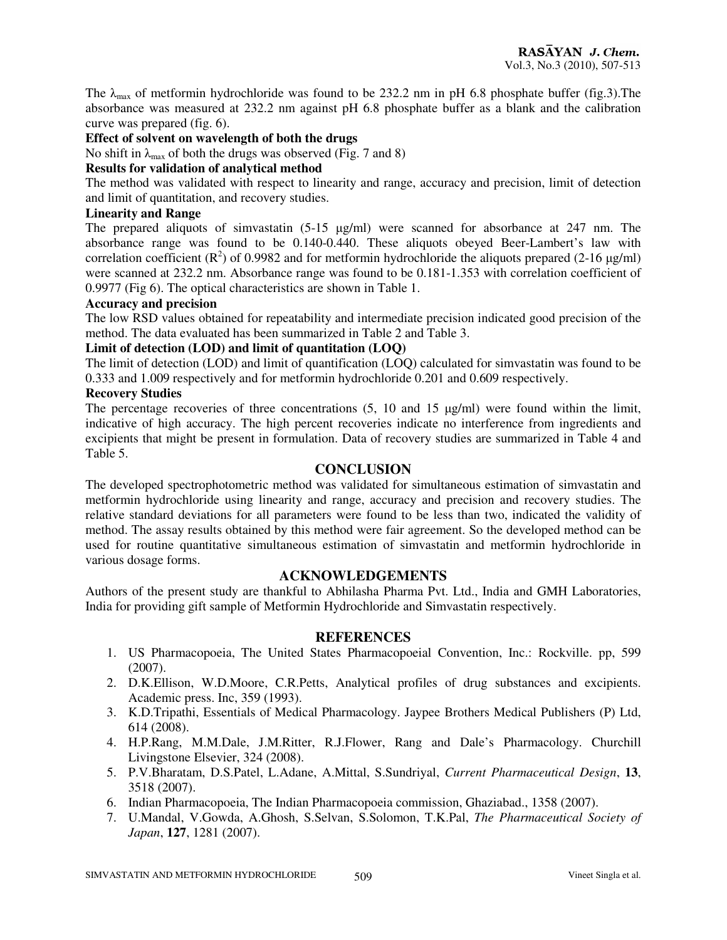The  $\lambda_{\text{max}}$  of metformin hydrochloride was found to be 232.2 nm in pH 6.8 phosphate buffer (fig.3). The absorbance was measured at 232.2 nm against pH 6.8 phosphate buffer as a blank and the calibration curve was prepared (fig. 6).

# **Effect of solvent on wavelength of both the drugs**

No shift in  $\lambda_{\text{max}}$  of both the drugs was observed (Fig. 7 and 8)

## **Results for validation of analytical method**

The method was validated with respect to linearity and range, accuracy and precision, limit of detection and limit of quantitation, and recovery studies.

# **Linearity and Range**

The prepared aliquots of simvastatin (5-15 µg/ml) were scanned for absorbance at 247 nm. The absorbance range was found to be 0.140-0.440. These aliquots obeyed Beer-Lambert's law with correlation coefficient  $(R^2)$  of 0.9982 and for metformin hydrochloride the aliquots prepared (2-16  $\mu$ g/ml) were scanned at 232.2 nm. Absorbance range was found to be 0.181-1.353 with correlation coefficient of 0.9977 (Fig 6). The optical characteristics are shown in Table 1.

# **Accuracy and precision**

The low RSD values obtained for repeatability and intermediate precision indicated good precision of the method. The data evaluated has been summarized in Table 2 and Table 3.

# **Limit of detection (LOD) and limit of quantitation (LOQ)**

The limit of detection (LOD) and limit of quantification (LOQ) calculated for simvastatin was found to be 0.333 and 1.009 respectively and for metformin hydrochloride 0.201 and 0.609 respectively.

# **Recovery Studies**

The percentage recoveries of three concentrations  $(5, 10 \text{ and } 15 \text{ µg/ml})$  were found within the limit, indicative of high accuracy. The high percent recoveries indicate no interference from ingredients and excipients that might be present in formulation. Data of recovery studies are summarized in Table 4 and Table 5.

# **CONCLUSION**

The developed spectrophotometric method was validated for simultaneous estimation of simvastatin and metformin hydrochloride using linearity and range, accuracy and precision and recovery studies. The relative standard deviations for all parameters were found to be less than two, indicated the validity of method. The assay results obtained by this method were fair agreement. So the developed method can be used for routine quantitative simultaneous estimation of simvastatin and metformin hydrochloride in various dosage forms.

# **ACKNOWLEDGEMENTS**

Authors of the present study are thankful to Abhilasha Pharma Pvt. Ltd., India and GMH Laboratories, India for providing gift sample of Metformin Hydrochloride and Simvastatin respectively.

# **REFERENCES**

- 1. US Pharmacopoeia, The United States Pharmacopoeial Convention, Inc.: Rockville. pp, 599 (2007).
- 2. D.K.Ellison, W.D.Moore, C.R.Petts, Analytical profiles of drug substances and excipients. Academic press. Inc, 359 (1993).
- 3. K.D.Tripathi, Essentials of Medical Pharmacology. Jaypee Brothers Medical Publishers (P) Ltd, 614 (2008).
- 4. H.P.Rang, M.M.Dale, J.M.Ritter, R.J.Flower, Rang and Dale's Pharmacology. Churchill Livingstone Elsevier, 324 (2008).
- 5. P.V.Bharatam, D.S.Patel, L.Adane, A.Mittal, S.Sundriyal, *Current Pharmaceutical Design*, **13**, 3518 (2007).
- 6. Indian Pharmacopoeia, The Indian Pharmacopoeia commission, Ghaziabad., 1358 (2007).
- 7. U.Mandal, V.Gowda, A.Ghosh, S.Selvan, S.Solomon, T.K.Pal, *The Pharmaceutical Society of Japan*, **127**, 1281 (2007).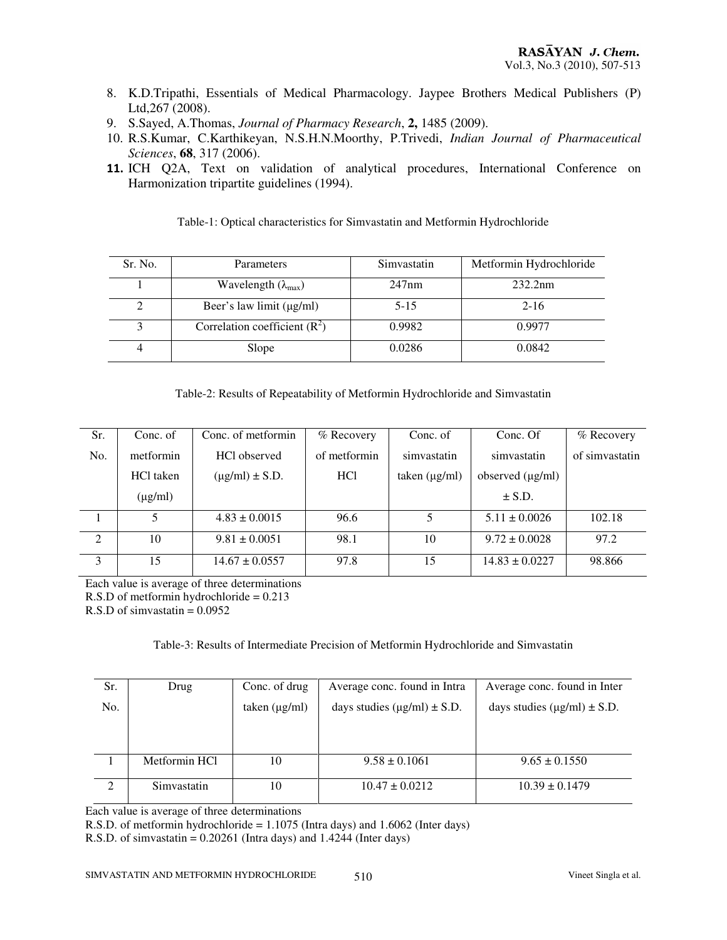- 8. K.D.Tripathi, Essentials of Medical Pharmacology. Jaypee Brothers Medical Publishers (P) Ltd,267 (2008).
- 9. S.Sayed, A.Thomas, *Journal of Pharmacy Research*, **2,** 1485 (2009).
- 10. R.S.Kumar, C.Karthikeyan, N.S.H.N.Moorthy, P.Trivedi, *Indian Journal of Pharmaceutical Sciences*, **68**, 317 (2006).
- 11. ICH Q2A, Text on validation of analytical procedures, International Conference on Harmonization tripartite guidelines (1994).

| Sr. No. | Parameters                          | Simvastatin | Metformin Hydrochloride |
|---------|-------------------------------------|-------------|-------------------------|
|         | Wavelength $(\lambda_{\text{max}})$ | 247nm       | 232.2nm                 |
|         | Beer's law limit $(\mu g/ml)$       | $5 - 15$    | $2 - 16$                |
| 3       | Correlation coefficient $(R^2)$     | 0.9982      | 0.9977                  |
| 4       | Slope                               | 0.0286      | 0.0842                  |

Table-1: Optical characteristics for Simvastatin and Metformin Hydrochloride

| Sr. | Conc. of     | Conc. of metformin    | % Recovery      | Conc. of           | Conc. Of              | % Recovery     |
|-----|--------------|-----------------------|-----------------|--------------------|-----------------------|----------------|
| No. | metformin    | HCl observed          | of metformin    | simvastatin        | simvastatin           | of simvastatin |
|     | HCl taken    | $(\mu g/ml) \pm S.D.$ | HC <sub>1</sub> | taken $(\mu g/ml)$ | observed $(\mu g/ml)$ |                |
|     | $(\mu g/ml)$ |                       |                 |                    | $\pm$ S.D.            |                |
|     | 5            | $4.83 \pm 0.0015$     | 96.6            | 5                  | $5.11 \pm 0.0026$     | 102.18         |
| 2   | 10           | $9.81 \pm 0.0051$     | 98.1            | 10                 | $9.72 \pm 0.0028$     | 97.2           |
| 3   | 15           | $14.67 \pm 0.0557$    | 97.8            | 15                 | $14.83 \pm 0.0227$    | 98.866         |

Each value is average of three determinations

R.S.D of metformin hydrochloride = 0.213

 $R.S.D$  of simvastatin = 0.0952

#### Table-3: Results of Intermediate Precision of Metformin Hydrochloride and Simvastatin

| Sr. | Drug          | Conc. of drug      | Average conc. found in Intra          | Average conc. found in Inter          |
|-----|---------------|--------------------|---------------------------------------|---------------------------------------|
| No. |               | taken $(\mu g/ml)$ | days studies ( $\mu$ g/ml) $\pm$ S.D. | days studies ( $\mu$ g/ml) $\pm$ S.D. |
|     |               |                    |                                       |                                       |
|     |               |                    |                                       |                                       |
|     | Metformin HCl | 10                 | $9.58 \pm 0.1061$                     | $9.65 \pm 0.1550$                     |
|     |               |                    |                                       |                                       |
| 2   | Simvastatin   | 10                 | $10.47 \pm 0.0212$                    | $10.39 \pm 0.1479$                    |
|     |               |                    |                                       |                                       |

Each value is average of three determinations

R.S.D. of metformin hydrochloride = 1.1075 (Intra days) and 1.6062 (Inter days)

R.S.D. of simvastatin = 0.20261 (Intra days) and 1.4244 (Inter days)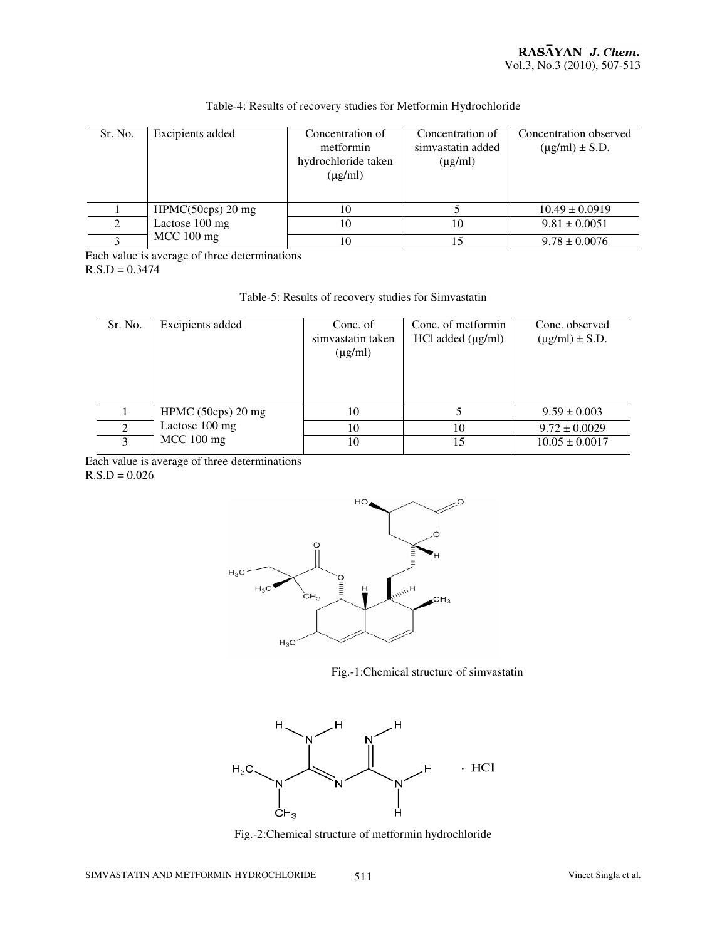| Sr. No.       | Excipients added    | Concentration of<br>metformin<br>hydrochloride taken<br>$(\mu g/ml)$ | Concentration of<br>simvastatin added<br>$(\mu g/ml)$ | Concentration observed<br>$(\mu g/ml) \pm S.D.$ |
|---------------|---------------------|----------------------------------------------------------------------|-------------------------------------------------------|-------------------------------------------------|
|               | $HPMC(50cps)$ 20 mg | 10                                                                   |                                                       | $10.49 \pm 0.0919$                              |
| $\mathcal{L}$ | Lactose 100 mg      | 10                                                                   | 10                                                    | $9.81 \pm 0.0051$                               |
|               | $MCC$ 100 mg        | 10                                                                   | 15                                                    | $9.78 \pm 0.0076$                               |

# Table-4: Results of recovery studies for Metformin Hydrochloride

Each value is average of three determinations  $R.S.D = 0.3474$ 

| Table-5: Results of recovery studies for Simvastatin |  |
|------------------------------------------------------|--|
|------------------------------------------------------|--|

| Sr. No.  | Excipients added   | Conc. of<br>simvastatin taken<br>$(\mu g/ml)$ | Conc. of metformin<br>$HCl$ added $(\mu g/ml)$ | Conc. observed<br>$(\mu g/ml) \pm S.D.$ |
|----------|--------------------|-----------------------------------------------|------------------------------------------------|-----------------------------------------|
|          | HPMC (50cps) 20 mg | 10                                            |                                                | $9.59 \pm 0.003$                        |
| $\gamma$ | Lactose 100 mg     | 10                                            | 10                                             | $9.72 \pm 0.0029$                       |
| 3        | $MCC$ 100 mg       | 10                                            | 15                                             | $10.05 \pm 0.0017$                      |

Each value is average of three determinations  $R.S.D = 0.026$ 



Fig.-1:Chemical structure of simvastatin



Fig.-2:Chemical structure of metformin hydrochloride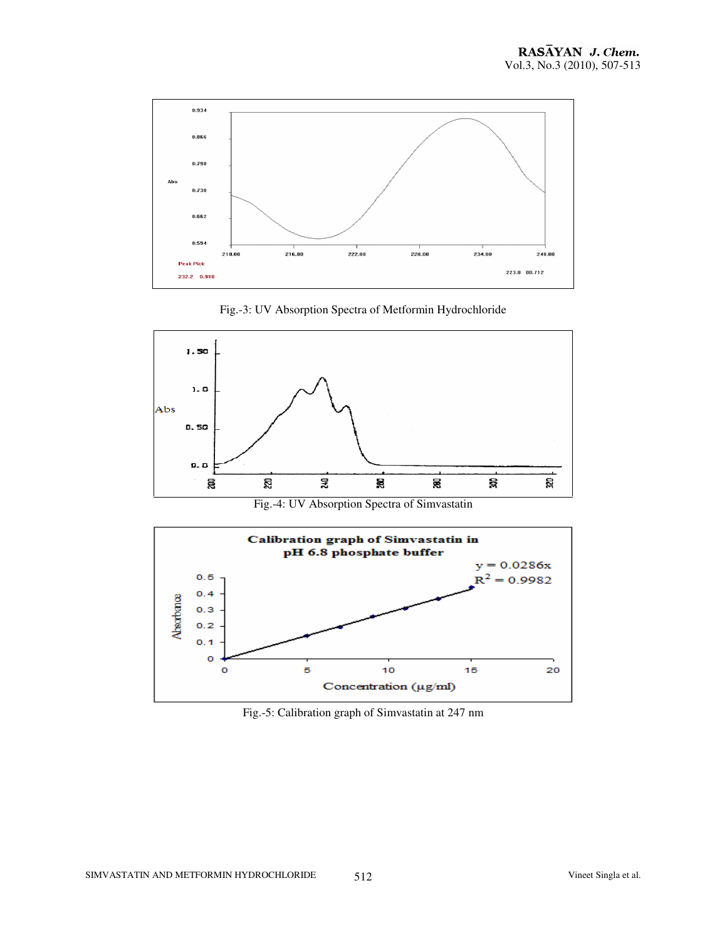

Fig.-3: UV Absorption Spectra of Metformin Hydrochloride



Fig.-4: UV Absorption Spectra of Simvastatin



Fig.-5: Calibration graph of Simvastatin at 247 nm